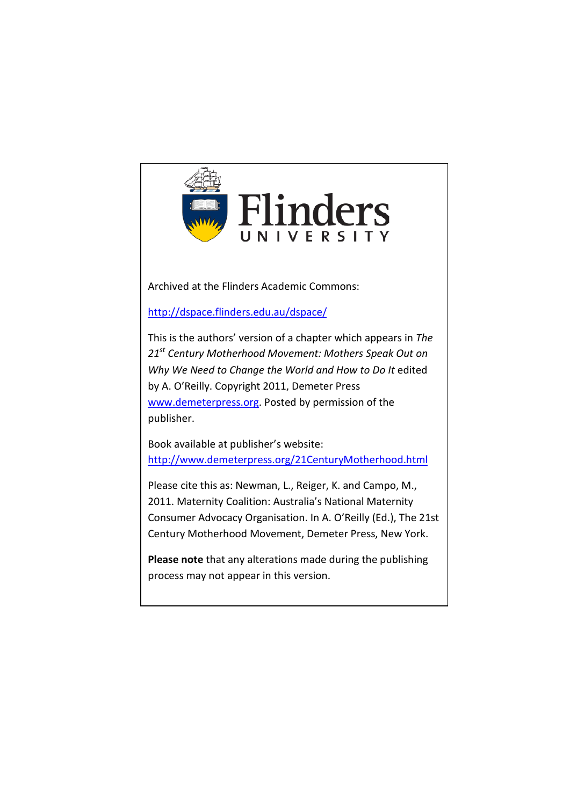

Archived at the Flinders Academic Commons:

<http://dspace.flinders.edu.au/dspace/>

This is the authors' version of a chapter which appears in *The 21st Century Motherhood Movement: Mothers Speak Out on Why We Need to Change the World and How to Do It* edited by A. O'Reilly. Copyright 2011, Demeter Press [www.demeterpress.org.](http://www.demeterpress.org/) Posted by permission of the publisher.

Book available at publisher's website: <http://www.demeterpress.org/21CenturyMotherhood.html>

Please cite this as: Newman, L., Reiger, K. and Campo, M., 2011. Maternity Coalition: Australia's National Maternity Consumer Advocacy Organisation. In A. O'Reilly (Ed.), The 21st Century Motherhood Movement, Demeter Press, New York.

**Please note** that any alterations made during the publishing process may not appear in this version.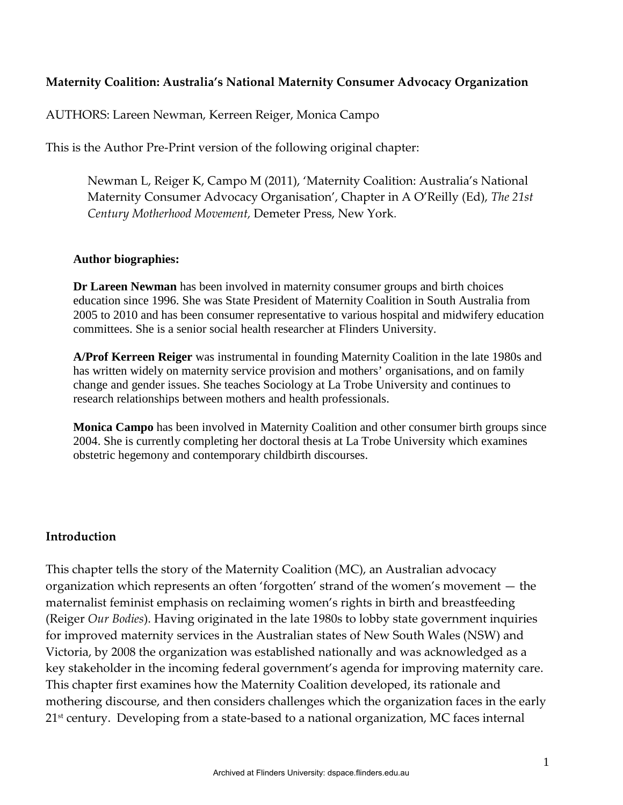#### **Maternity Coalition: Australia's National Maternity Consumer Advocacy Organization**

AUTHORS: Lareen Newman, Kerreen Reiger, Monica Campo

This is the Author Pre-Print version of the following original chapter:

Newman L, Reiger K, Campo M (2011), 'Maternity Coalition: Australia's National Maternity Consumer Advocacy Organisation', Chapter in A O'Reilly (Ed), *The 21st Century Motherhood Movement,* Demeter Press, New York.

#### **Author biographies:**

**Dr Lareen Newman** has been involved in maternity consumer groups and birth choices education since 1996. She was State President of Maternity Coalition in South Australia from 2005 to 2010 and has been consumer representative to various hospital and midwifery education committees. She is a senior social health researcher at Flinders University.

**A/Prof Kerreen Reiger** was instrumental in founding Maternity Coalition in the late 1980s and has written widely on maternity service provision and mothers' organisations, and on family change and gender issues. She teaches Sociology at La Trobe University and continues to research relationships between mothers and health professionals.

**Monica Campo** has been involved in Maternity Coalition and other consumer birth groups since 2004. She is currently completing her doctoral thesis at La Trobe University which examines obstetric hegemony and contemporary childbirth discourses.

#### **Introduction**

This chapter tells the story of the Maternity Coalition (MC), an Australian advocacy organization which represents an often 'forgotten' strand of the women's movement — the maternalist feminist emphasis on reclaiming women's rights in birth and breastfeeding (Reiger *Our Bodies*). Having originated in the late 1980s to lobby state government inquiries for improved maternity services in the Australian states of New South Wales (NSW) and Victoria, by 2008 the organization was established nationally and was acknowledged as a key stakeholder in the incoming federal government's agenda for improving maternity care. This chapter first examines how the Maternity Coalition developed, its rationale and mothering discourse, and then considers challenges which the organization faces in the early 21<sup>st</sup> century. Developing from a state-based to a national organization, MC faces internal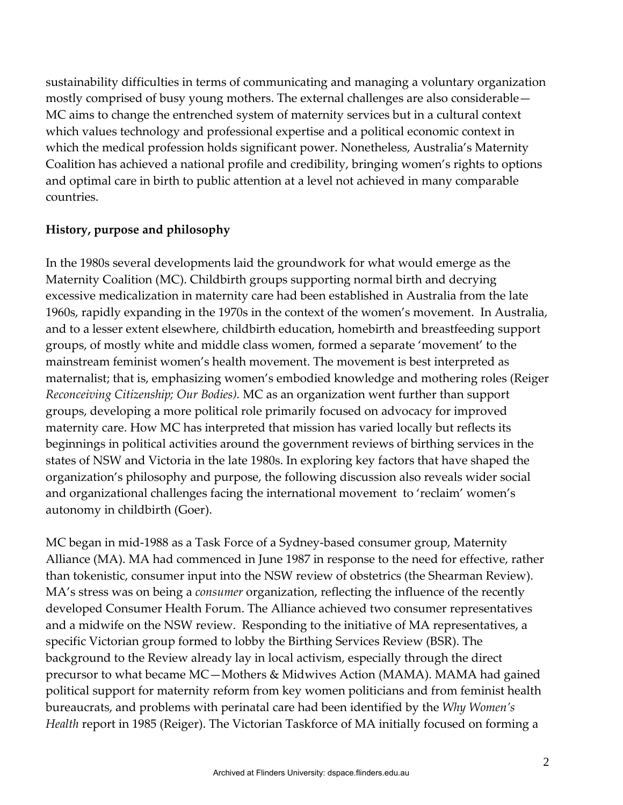sustainability difficulties in terms of communicating and managing a voluntary organization mostly comprised of busy young mothers. The external challenges are also considerable— MC aims to change the entrenched system of maternity services but in a cultural context which values technology and professional expertise and a political economic context in which the medical profession holds significant power. Nonetheless, Australia's Maternity Coalition has achieved a national profile and credibility, bringing women's rights to options and optimal care in birth to public attention at a level not achieved in many comparable countries.

## **History, purpose and philosophy**

In the 1980s several developments laid the groundwork for what would emerge as the Maternity Coalition (MC). Childbirth groups supporting normal birth and decrying excessive medicalization in maternity care had been established in Australia from the late 1960s, rapidly expanding in the 1970s in the context of the women's movement. In Australia, and to a lesser extent elsewhere, childbirth education, homebirth and breastfeeding support groups, of mostly white and middle class women, formed a separate 'movement' to the mainstream feminist women's health movement. The movement is best interpreted as maternalist; that is, emphasizing women's embodied knowledge and mothering roles (Reiger *Reconceiving Citizenship; Our Bodies).* MC as an organization went further than support groups, developing a more political role primarily focused on advocacy for improved maternity care. How MC has interpreted that mission has varied locally but reflects its beginnings in political activities around the government reviews of birthing services in the states of NSW and Victoria in the late 1980s. In exploring key factors that have shaped the organization's philosophy and purpose, the following discussion also reveals wider social and organizational challenges facing the international movement to 'reclaim' women's autonomy in childbirth (Goer).

MC began in mid-1988 as a Task Force of a Sydney-based consumer group, Maternity Alliance (MA). MA had commenced in June 1987 in response to the need for effective, rather than tokenistic, consumer input into the NSW review of obstetrics (the Shearman Review). MA's stress was on being a *consumer* organization, reflecting the influence of the recently developed Consumer Health Forum. The Alliance achieved two consumer representatives and a midwife on the NSW review. Responding to the initiative of MA representatives, a specific Victorian group formed to lobby the Birthing Services Review (BSR). The background to the Review already lay in local activism, especially through the direct precursor to what became MC—Mothers & Midwives Action (MAMA). MAMA had gained political support for maternity reform from key women politicians and from feminist health bureaucrats, and problems with perinatal care had been identified by the *Why Women's Health* report in 1985 (Reiger). The Victorian Taskforce of MA initially focused on forming a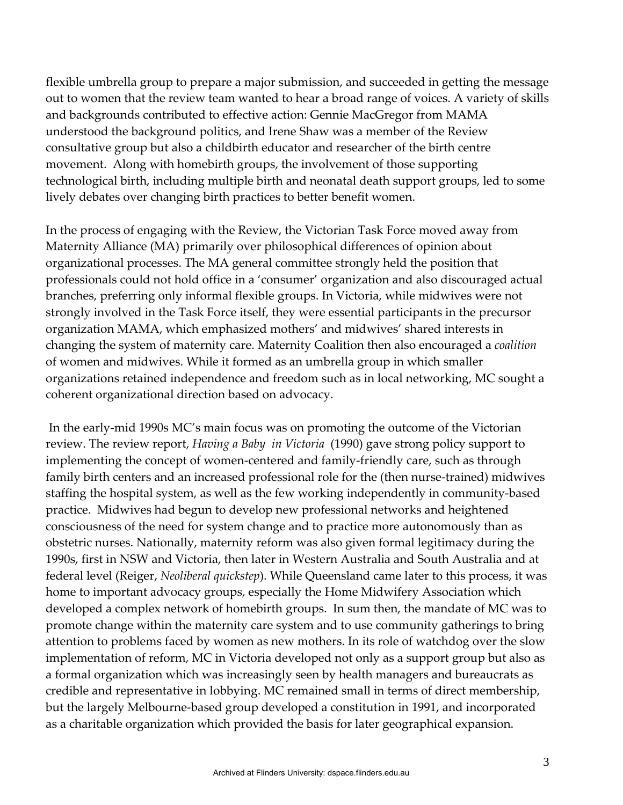flexible umbrella group to prepare a major submission, and succeeded in getting the message out to women that the review team wanted to hear a broad range of voices. A variety of skills and backgrounds contributed to effective action: Gennie MacGregor from MAMA understood the background politics, and Irene Shaw was a member of the Review consultative group but also a childbirth educator and researcher of the birth centre movement. Along with homebirth groups, the involvement of those supporting technological birth, including multiple birth and neonatal death support groups, led to some lively debates over changing birth practices to better benefit women.

In the process of engaging with the Review, the Victorian Task Force moved away from Maternity Alliance (MA) primarily over philosophical differences of opinion about organizational processes. The MA general committee strongly held the position that professionals could not hold office in a 'consumer' organization and also discouraged actual branches, preferring only informal flexible groups. In Victoria, while midwives were not strongly involved in the Task Force itself, they were essential participants in the precursor organization MAMA, which emphasized mothers' and midwives' shared interests in changing the system of maternity care. Maternity Coalition then also encouraged a *coalition* of women and midwives. While it formed as an umbrella group in which smaller organizations retained independence and freedom such as in local networking, MC sought a coherent organizational direction based on advocacy.

In the early-mid 1990s MC's main focus was on promoting the outcome of the Victorian review. The review report, *Having a Baby in Victoria* (1990) gave strong policy support to implementing the concept of women-centered and family-friendly care, such as through family birth centers and an increased professional role for the (then nurse-trained) midwives staffing the hospital system, as well as the few working independently in community-based practice. Midwives had begun to develop new professional networks and heightened consciousness of the need for system change and to practice more autonomously than as obstetric nurses. Nationally, maternity reform was also given formal legitimacy during the 1990s, first in NSW and Victoria, then later in Western Australia and South Australia and at federal level (Reiger, *Neoliberal quickstep*). While Queensland came later to this process, it was home to important advocacy groups, especially the Home Midwifery Association which developed a complex network of homebirth groups. In sum then, the mandate of MC was to promote change within the maternity care system and to use community gatherings to bring attention to problems faced by women as new mothers. In its role of watchdog over the slow implementation of reform, MC in Victoria developed not only as a support group but also as a formal organization which was increasingly seen by health managers and bureaucrats as credible and representative in lobbying. MC remained small in terms of direct membership, but the largely Melbourne-based group developed a constitution in 1991, and incorporated as a charitable organization which provided the basis for later geographical expansion.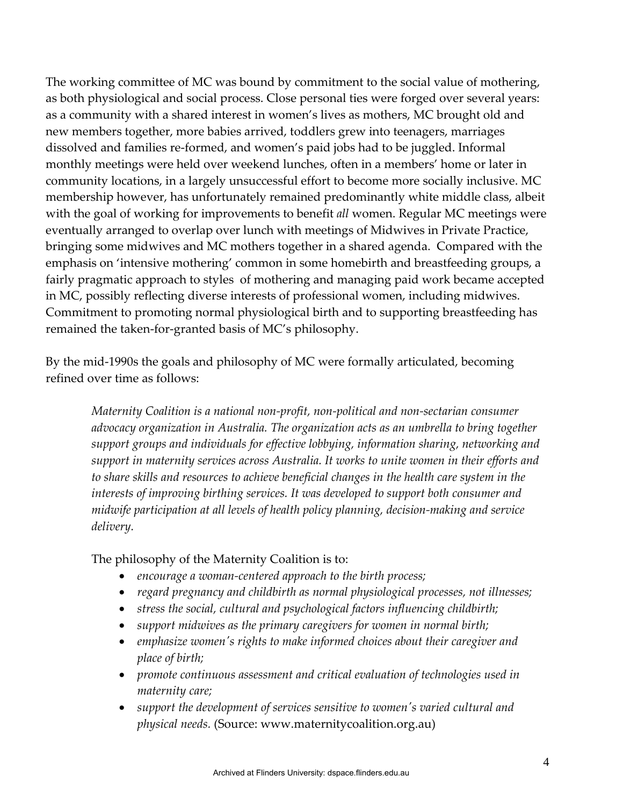The working committee of MC was bound by commitment to the social value of mothering, as both physiological and social process. Close personal ties were forged over several years: as a community with a shared interest in women's lives as mothers, MC brought old and new members together, more babies arrived, toddlers grew into teenagers, marriages dissolved and families re-formed, and women's paid jobs had to be juggled. Informal monthly meetings were held over weekend lunches, often in a members' home or later in community locations, in a largely unsuccessful effort to become more socially inclusive. MC membership however, has unfortunately remained predominantly white middle class, albeit with the goal of working for improvements to benefit *all* women. Regular MC meetings were eventually arranged to overlap over lunch with meetings of Midwives in Private Practice, bringing some midwives and MC mothers together in a shared agenda. Compared with the emphasis on 'intensive mothering' common in some homebirth and breastfeeding groups, a fairly pragmatic approach to styles of mothering and managing paid work became accepted in MC, possibly reflecting diverse interests of professional women, including midwives. Commitment to promoting normal physiological birth and to supporting breastfeeding has remained the taken-for-granted basis of MC's philosophy.

By the mid-1990s the goals and philosophy of MC were formally articulated, becoming refined over time as follows:

*Maternity Coalition is a national non-profit, non-political and non-sectarian consumer advocacy organization in Australia. The organization acts as an umbrella to bring together support groups and individuals for effective lobbying, information sharing, networking and support in maternity services across Australia. It works to unite women in their efforts and to share skills and resources to achieve beneficial changes in the health care system in the interests of improving birthing services. It was developed to support both consumer and midwife participation at all levels of health policy planning, decision-making and service delivery.* 

The philosophy of the Maternity Coalition is to:

- *encourage a woman-centered approach to the birth process;*
- *regard pregnancy and childbirth as normal physiological processes, not illnesses;*
- *stress the social, cultural and psychological factors influencing childbirth;*
- *support midwives as the primary caregivers for women in normal birth;*
- *emphasize women's rights to make informed choices about their caregiver and place of birth;*
- *promote continuous assessment and critical evaluation of technologies used in maternity care;*
- *support the development of services sensitive to women's varied cultural and physical needs.* (Source: www.maternitycoalition.org.au)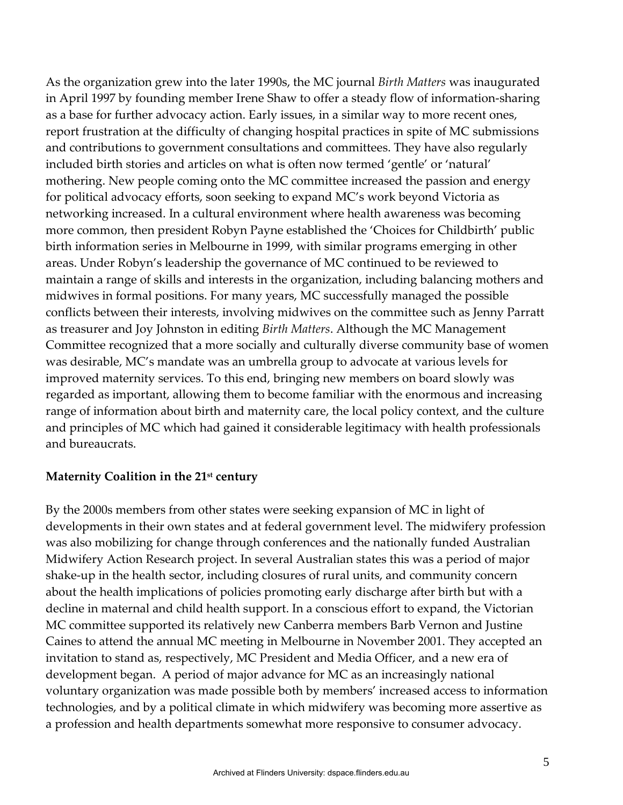As the organization grew into the later 1990s, the MC journal *Birth Matters* was inaugurated in April 1997 by founding member Irene Shaw to offer a steady flow of information-sharing as a base for further advocacy action. Early issues, in a similar way to more recent ones, report frustration at the difficulty of changing hospital practices in spite of MC submissions and contributions to government consultations and committees. They have also regularly included birth stories and articles on what is often now termed 'gentle' or 'natural' mothering. New people coming onto the MC committee increased the passion and energy for political advocacy efforts, soon seeking to expand MC's work beyond Victoria as networking increased. In a cultural environment where health awareness was becoming more common, then president Robyn Payne established the 'Choices for Childbirth' public birth information series in Melbourne in 1999, with similar programs emerging in other areas. Under Robyn's leadership the governance of MC continued to be reviewed to maintain a range of skills and interests in the organization, including balancing mothers and midwives in formal positions. For many years, MC successfully managed the possible conflicts between their interests, involving midwives on the committee such as Jenny Parratt as treasurer and Joy Johnston in editing *Birth Matters*. Although the MC Management Committee recognized that a more socially and culturally diverse community base of women was desirable, MC's mandate was an umbrella group to advocate at various levels for improved maternity services. To this end, bringing new members on board slowly was regarded as important, allowing them to become familiar with the enormous and increasing range of information about birth and maternity care, the local policy context, and the culture and principles of MC which had gained it considerable legitimacy with health professionals and bureaucrats.

#### **Maternity Coalition in the 21st century**

By the 2000s members from other states were seeking expansion of MC in light of developments in their own states and at federal government level. The midwifery profession was also mobilizing for change through conferences and the nationally funded Australian Midwifery Action Research project. In several Australian states this was a period of major shake-up in the health sector, including closures of rural units, and community concern about the health implications of policies promoting early discharge after birth but with a decline in maternal and child health support. In a conscious effort to expand, the Victorian MC committee supported its relatively new Canberra members Barb Vernon and Justine Caines to attend the annual MC meeting in Melbourne in November 2001. They accepted an invitation to stand as, respectively, MC President and Media Officer, and a new era of development began. A period of major advance for MC as an increasingly national voluntary organization was made possible both by members' increased access to information technologies, and by a political climate in which midwifery was becoming more assertive as a profession and health departments somewhat more responsive to consumer advocacy.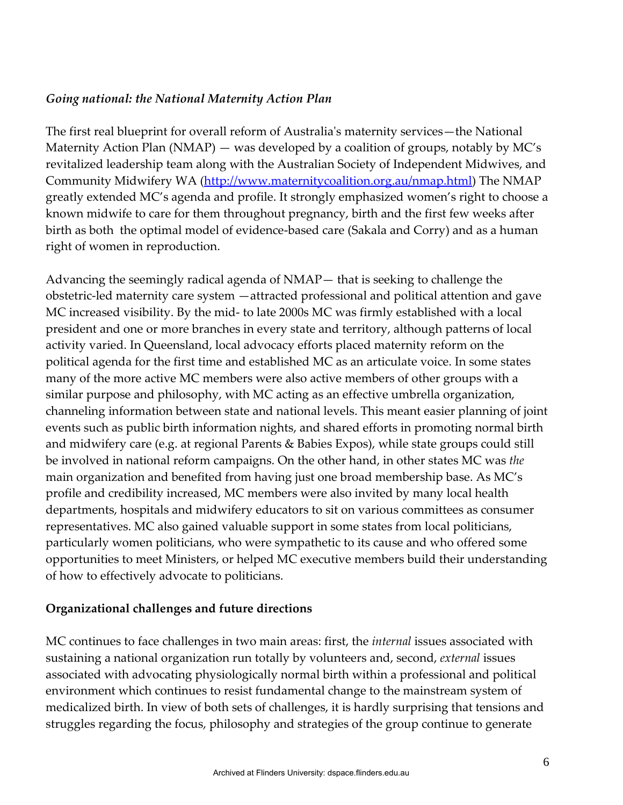# *Going national: the National Maternity Action Plan*

The first real blueprint for overall reform of Australia's maternity services—the National Maternity Action Plan (NMAP) — was developed by a coalition of groups, notably by MC's revitalized leadership team along with the Australian Society of Independent Midwives, and Community Midwifery WA [\(http://www.maternitycoalition.org.au/nmap.html\)](http://www.maternitycoalition.org.au/nmap.html) The NMAP greatly extended MC's agenda and profile. It strongly emphasized women's right to choose a known midwife to care for them throughout pregnancy, birth and the first few weeks after birth as both the optimal model of evidence-based care (Sakala and Corry) and as a human right of women in reproduction.

Advancing the seemingly radical agenda of NMAP— that is seeking to challenge the obstetric-led maternity care system —attracted professional and political attention and gave MC increased visibility. By the mid- to late 2000s MC was firmly established with a local president and one or more branches in every state and territory, although patterns of local activity varied. In Queensland, local advocacy efforts placed maternity reform on the political agenda for the first time and established MC as an articulate voice. In some states many of the more active MC members were also active members of other groups with a similar purpose and philosophy, with MC acting as an effective umbrella organization, channeling information between state and national levels. This meant easier planning of joint events such as public birth information nights, and shared efforts in promoting normal birth and midwifery care (e.g. at regional Parents & Babies Expos), while state groups could still be involved in national reform campaigns. On the other hand, in other states MC was *the*  main organization and benefited from having just one broad membership base. As MC's profile and credibility increased, MC members were also invited by many local health departments, hospitals and midwifery educators to sit on various committees as consumer representatives. MC also gained valuable support in some states from local politicians, particularly women politicians, who were sympathetic to its cause and who offered some opportunities to meet Ministers, or helped MC executive members build their understanding of how to effectively advocate to politicians.

## **Organizational challenges and future directions**

MC continues to face challenges in two main areas: first, the *internal* issues associated with sustaining a national organization run totally by volunteers and, second, *external* issues associated with advocating physiologically normal birth within a professional and political environment which continues to resist fundamental change to the mainstream system of medicalized birth. In view of both sets of challenges, it is hardly surprising that tensions and struggles regarding the focus, philosophy and strategies of the group continue to generate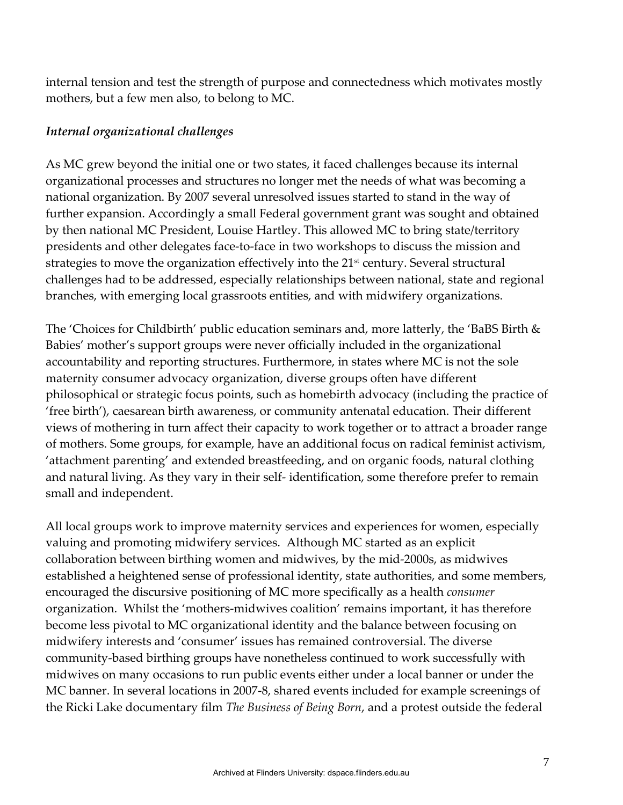internal tension and test the strength of purpose and connectedness which motivates mostly mothers, but a few men also, to belong to MC.

## *Internal organizational challenges*

As MC grew beyond the initial one or two states, it faced challenges because its internal organizational processes and structures no longer met the needs of what was becoming a national organization. By 2007 several unresolved issues started to stand in the way of further expansion. Accordingly a small Federal government grant was sought and obtained by then national MC President, Louise Hartley. This allowed MC to bring state/territory presidents and other delegates face-to-face in two workshops to discuss the mission and strategies to move the organization effectively into the 21<sup>st</sup> century. Several structural challenges had to be addressed, especially relationships between national, state and regional branches, with emerging local grassroots entities, and with midwifery organizations.

The 'Choices for Childbirth' public education seminars and, more latterly, the 'BaBS Birth & Babies' mother's support groups were never officially included in the organizational accountability and reporting structures. Furthermore, in states where MC is not the sole maternity consumer advocacy organization, diverse groups often have different philosophical or strategic focus points, such as homebirth advocacy (including the practice of 'free birth'), caesarean birth awareness, or community antenatal education. Their different views of mothering in turn affect their capacity to work together or to attract a broader range of mothers. Some groups, for example, have an additional focus on radical feminist activism, 'attachment parenting' and extended breastfeeding, and on organic foods, natural clothing and natural living. As they vary in their self- identification, some therefore prefer to remain small and independent.

All local groups work to improve maternity services and experiences for women, especially valuing and promoting midwifery services. Although MC started as an explicit collaboration between birthing women and midwives, by the mid-2000s, as midwives established a heightened sense of professional identity, state authorities, and some members, encouraged the discursive positioning of MC more specifically as a health *consumer* organization. Whilst the 'mothers-midwives coalition' remains important, it has therefore become less pivotal to MC organizational identity and the balance between focusing on midwifery interests and 'consumer' issues has remained controversial. The diverse community-based birthing groups have nonetheless continued to work successfully with midwives on many occasions to run public events either under a local banner or under the MC banner. In several locations in 2007-8, shared events included for example screenings of the Ricki Lake documentary film *The Business of Being Born*, and a protest outside the federal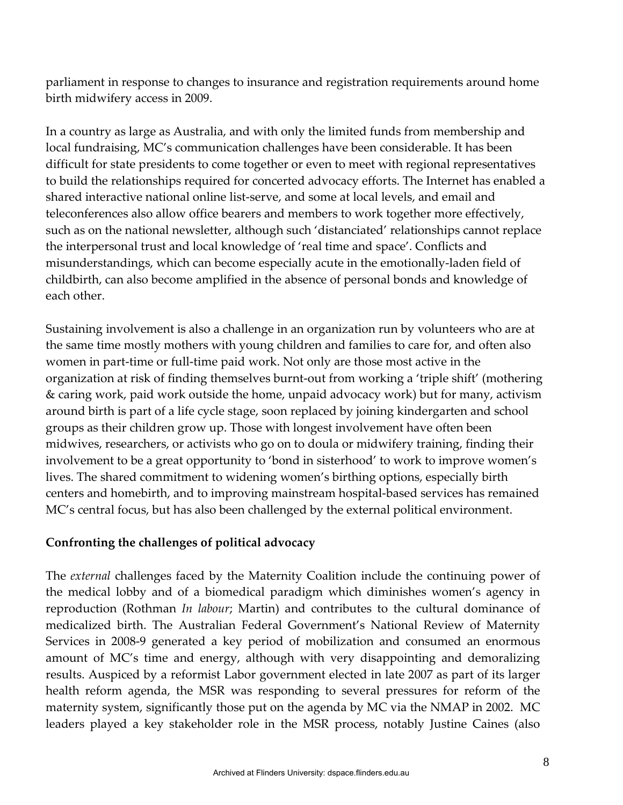parliament in response to changes to insurance and registration requirements around home birth midwifery access in 2009.

In a country as large as Australia, and with only the limited funds from membership and local fundraising, MC's communication challenges have been considerable. It has been difficult for state presidents to come together or even to meet with regional representatives to build the relationships required for concerted advocacy efforts. The Internet has enabled a shared interactive national online list-serve, and some at local levels, and email and teleconferences also allow office bearers and members to work together more effectively, such as on the national newsletter, although such 'distanciated' relationships cannot replace the interpersonal trust and local knowledge of 'real time and space'. Conflicts and misunderstandings, which can become especially acute in the emotionally-laden field of childbirth, can also become amplified in the absence of personal bonds and knowledge of each other.

Sustaining involvement is also a challenge in an organization run by volunteers who are at the same time mostly mothers with young children and families to care for, and often also women in part-time or full-time paid work. Not only are those most active in the organization at risk of finding themselves burnt-out from working a 'triple shift' (mothering & caring work, paid work outside the home, unpaid advocacy work) but for many, activism around birth is part of a life cycle stage, soon replaced by joining kindergarten and school groups as their children grow up. Those with longest involvement have often been midwives, researchers, or activists who go on to doula or midwifery training, finding their involvement to be a great opportunity to 'bond in sisterhood' to work to improve women's lives. The shared commitment to widening women's birthing options, especially birth centers and homebirth, and to improving mainstream hospital-based services has remained MC's central focus, but has also been challenged by the external political environment.

#### **Confronting the challenges of political advocacy**

The *external* challenges faced by the Maternity Coalition include the continuing power of the medical lobby and of a biomedical paradigm which diminishes women's agency in reproduction (Rothman *In labour*; Martin) and contributes to the cultural dominance of medicalized birth. The Australian Federal Government's National Review of Maternity Services in 2008-9 generated a key period of mobilization and consumed an enormous amount of MC's time and energy, although with very disappointing and demoralizing results. Auspiced by a reformist Labor government elected in late 2007 as part of its larger health reform agenda, the MSR was responding to several pressures for reform of the maternity system, significantly those put on the agenda by MC via the NMAP in 2002. MC leaders played a key stakeholder role in the MSR process, notably Justine Caines (also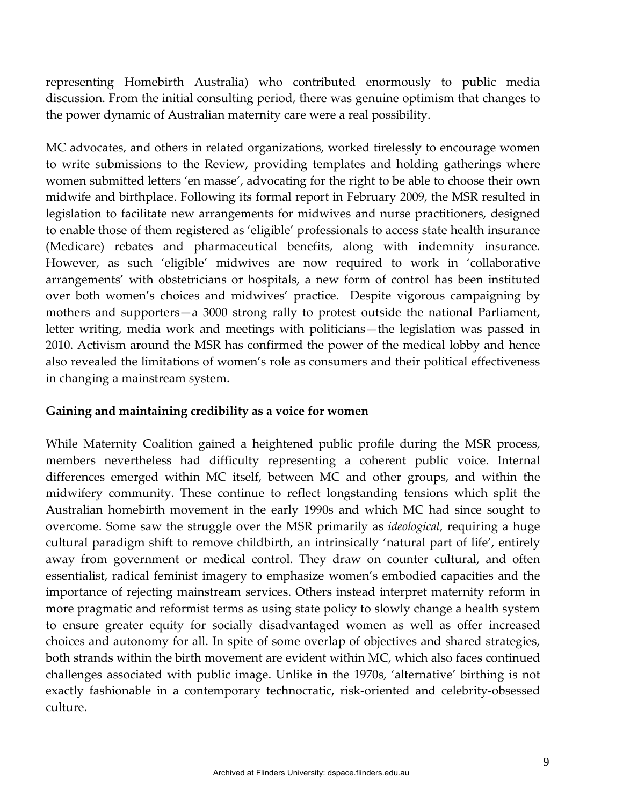representing Homebirth Australia) who contributed enormously to public media discussion. From the initial consulting period, there was genuine optimism that changes to the power dynamic of Australian maternity care were a real possibility.

MC advocates, and others in related organizations, worked tirelessly to encourage women to write submissions to the Review, providing templates and holding gatherings where women submitted letters 'en masse', advocating for the right to be able to choose their own midwife and birthplace. Following its formal report in February 2009, the MSR resulted in legislation to facilitate new arrangements for midwives and nurse practitioners, designed to enable those of them registered as 'eligible' professionals to access state health insurance (Medicare) rebates and pharmaceutical benefits, along with indemnity insurance. However, as such 'eligible' midwives are now required to work in 'collaborative arrangements' with obstetricians or hospitals, a new form of control has been instituted over both women's choices and midwives' practice. Despite vigorous campaigning by mothers and supporters—a 3000 strong rally to protest outside the national Parliament, letter writing, media work and meetings with politicians—the legislation was passed in 2010. Activism around the MSR has confirmed the power of the medical lobby and hence also revealed the limitations of women's role as consumers and their political effectiveness in changing a mainstream system.

#### **Gaining and maintaining credibility as a voice for women**

While Maternity Coalition gained a heightened public profile during the MSR process, members nevertheless had difficulty representing a coherent public voice. Internal differences emerged within MC itself, between MC and other groups, and within the midwifery community. These continue to reflect longstanding tensions which split the Australian homebirth movement in the early 1990s and which MC had since sought to overcome. Some saw the struggle over the MSR primarily as *ideological*, requiring a huge cultural paradigm shift to remove childbirth, an intrinsically 'natural part of life', entirely away from government or medical control. They draw on counter cultural, and often essentialist, radical feminist imagery to emphasize women's embodied capacities and the importance of rejecting mainstream services. Others instead interpret maternity reform in more pragmatic and reformist terms as using state policy to slowly change a health system to ensure greater equity for socially disadvantaged women as well as offer increased choices and autonomy for all. In spite of some overlap of objectives and shared strategies, both strands within the birth movement are evident within MC, which also faces continued challenges associated with public image. Unlike in the 1970s, 'alternative' birthing is not exactly fashionable in a contemporary technocratic, risk-oriented and celebrity-obsessed culture.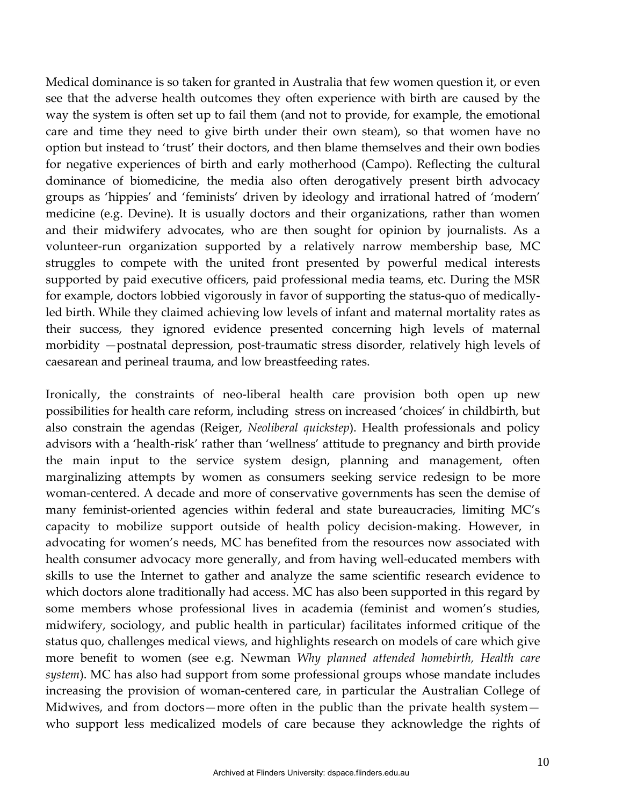Medical dominance is so taken for granted in Australia that few women question it, or even see that the adverse health outcomes they often experience with birth are caused by the way the system is often set up to fail them (and not to provide, for example, the emotional care and time they need to give birth under their own steam), so that women have no option but instead to 'trust' their doctors, and then blame themselves and their own bodies for negative experiences of birth and early motherhood (Campo). Reflecting the cultural dominance of biomedicine, the media also often derogatively present birth advocacy groups as 'hippies' and 'feminists' driven by ideology and irrational hatred of 'modern' medicine (e.g. Devine). It is usually doctors and their organizations, rather than women and their midwifery advocates, who are then sought for opinion by journalists. As a volunteer-run organization supported by a relatively narrow membership base, MC struggles to compete with the united front presented by powerful medical interests supported by paid executive officers, paid professional media teams, etc. During the MSR for example, doctors lobbied vigorously in favor of supporting the status-quo of medicallyled birth. While they claimed achieving low levels of infant and maternal mortality rates as their success, they ignored evidence presented concerning high levels of maternal morbidity —postnatal depression, post-traumatic stress disorder, relatively high levels of caesarean and perineal trauma, and low breastfeeding rates.

Ironically, the constraints of neo-liberal health care provision both open up new possibilities for health care reform, including stress on increased 'choices' in childbirth, but also constrain the agendas (Reiger, *Neoliberal quickstep*). Health professionals and policy advisors with a 'health-risk' rather than 'wellness' attitude to pregnancy and birth provide the main input to the service system design, planning and management, often marginalizing attempts by women as consumers seeking service redesign to be more woman-centered. A decade and more of conservative governments has seen the demise of many feminist-oriented agencies within federal and state bureaucracies, limiting MC's capacity to mobilize support outside of health policy decision-making. However, in advocating for women's needs, MC has benefited from the resources now associated with health consumer advocacy more generally, and from having well-educated members with skills to use the Internet to gather and analyze the same scientific research evidence to which doctors alone traditionally had access. MC has also been supported in this regard by some members whose professional lives in academia (feminist and women's studies, midwifery, sociology, and public health in particular) facilitates informed critique of the status quo, challenges medical views, and highlights research on models of care which give more benefit to women (see e.g. Newman *Why planned attended homebirth, Health care system*). MC has also had support from some professional groups whose mandate includes increasing the provision of woman-centered care, in particular the Australian College of Midwives, and from doctors—more often in the public than the private health system who support less medicalized models of care because they acknowledge the rights of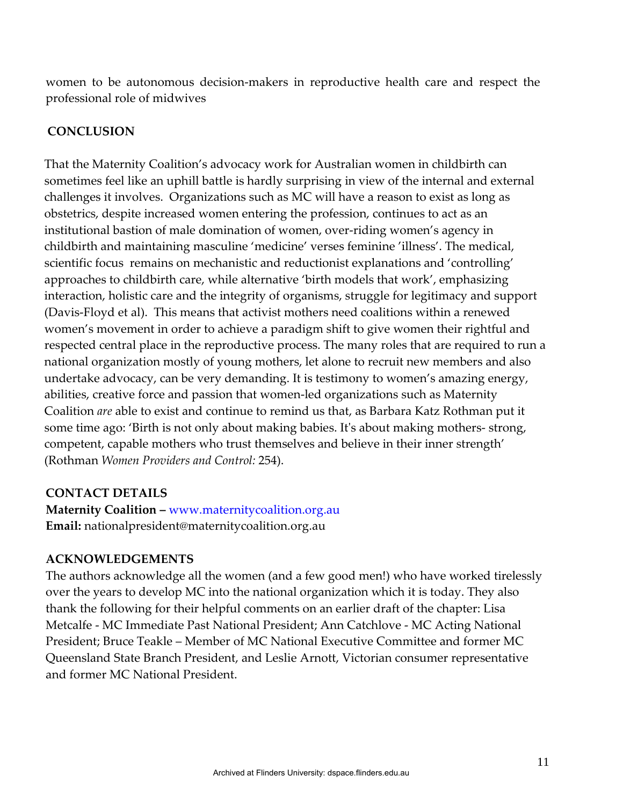women to be autonomous decision-makers in reproductive health care and respect the professional role of midwives

# **CONCLUSION**

That the Maternity Coalition's advocacy work for Australian women in childbirth can sometimes feel like an uphill battle is hardly surprising in view of the internal and external challenges it involves. Organizations such as MC will have a reason to exist as long as obstetrics, despite increased women entering the profession, continues to act as an institutional bastion of male domination of women, over-riding women's agency in childbirth and maintaining masculine 'medicine' verses feminine 'illness'. The medical, scientific focus remains on mechanistic and reductionist explanations and 'controlling' approaches to childbirth care, while alternative 'birth models that work', emphasizing interaction, holistic care and the integrity of organisms, struggle for legitimacy and support (Davis-Floyd et al). This means that activist mothers need coalitions within a renewed women's movement in order to achieve a paradigm shift to give women their rightful and respected central place in the reproductive process. The many roles that are required to run a national organization mostly of young mothers, let alone to recruit new members and also undertake advocacy, can be very demanding. It is testimony to women's amazing energy, abilities, creative force and passion that women-led organizations such as Maternity Coalition *are* able to exist and continue to remind us that, as Barbara Katz Rothman put it some time ago: 'Birth is not only about making babies. It's about making mothers- strong, competent, capable mothers who trust themselves and believe in their inner strength' (Rothman *Women Providers and Control:* 254).

## **CONTACT DETAILS**

**Maternity Coalition –** [www.maternitycoalition.org.au](http://www.maternitycoalition.org.au/) **Email:** nationalpresident@maternitycoalition.org.au

## **ACKNOWLEDGEMENTS**

The authors acknowledge all the women (and a few good men!) who have worked tirelessly over the years to develop MC into the national organization which it is today. They also thank the following for their helpful comments on an earlier draft of the chapter: Lisa Metcalfe - MC Immediate Past National President; Ann Catchlove - MC Acting National President; Bruce Teakle – Member of MC National Executive Committee and former MC Queensland State Branch President, and Leslie Arnott, Victorian consumer representative and former MC National President.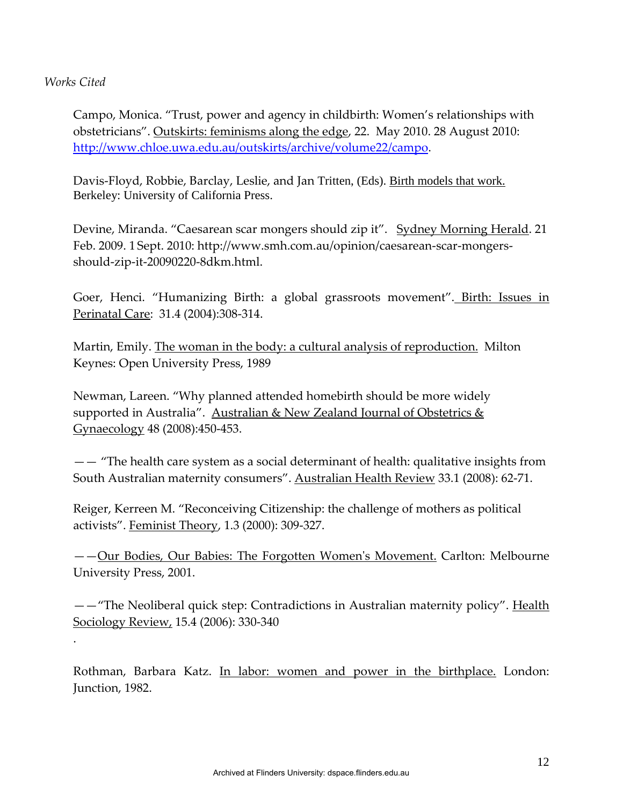#### *Works Cited*

.

Campo, Monica. "Trust, power and agency in childbirth: Women's relationships with obstetricians". Outskirts: feminisms along the edge, 22. May 2010. 28 August 2010: [http://www.chloe.uwa.edu.au/outskirts/archive/volume22/campo.](http://www.chloe.uwa.edu.au/outskirts/archive/volume22/campo)

Davis-Floyd, Robbie, Barclay, Leslie, and Jan Tritten, (Eds). Birth models that work. Berkeley: University of California Press.

Devine, Miranda. "Caesarean scar mongers should zip it". Sydney Morning Herald. 21 Feb. 2009. 1 Sept. 2010: [http://www.smh.com.au/opinion/caesarean-scar-mongers](http://www.smh.com.au/opinion/caesarean-scar-mongers-should-zip-it-20090220-8dkm.html)[should-zip-it-20090220-8dkm.html.](http://www.smh.com.au/opinion/caesarean-scar-mongers-should-zip-it-20090220-8dkm.html)

Goer, Henci. "Humanizing Birth: a global grassroots movement". Birth: Issues in Perinatal Care: 31.4 (2004):308-314.

Martin, Emily. The woman in the body: a cultural analysis of reproduction. Milton Keynes: Open University Press, 1989

Newman, Lareen. "Why planned attended homebirth should be more widely supported in Australia". Australian & New Zealand Journal of Obstetrics & Gynaecology 48 (2008):450-453.

—— "The health care system as a social determinant of health: qualitative insights from South Australian maternity consumers". Australian Health Review 33.1 (2008): 62-71.

Reiger, Kerreen M. "Reconceiving Citizenship: the challenge of mothers as political activists". Feminist Theory, 1.3 (2000): 309-327.

——Our Bodies, Our Babies: The Forgotten Women's Movement. Carlton: Melbourne University Press, 2001.

——"The Neoliberal quick step: Contradictions in Australian maternity policy". Health Sociology Review, 15.4 (2006): 330-340

Rothman, Barbara Katz. In labor: women and power in the birthplace. London: Junction, 1982.